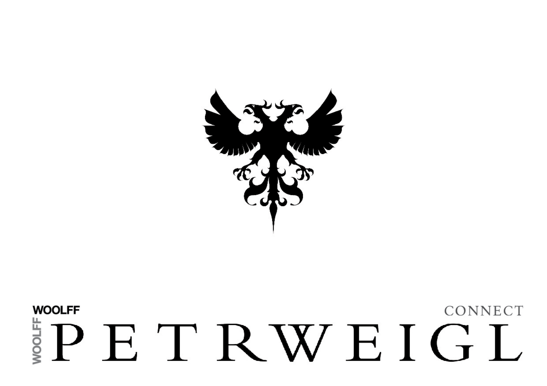### **WOOLFF** CONNECT PETRWEIGL

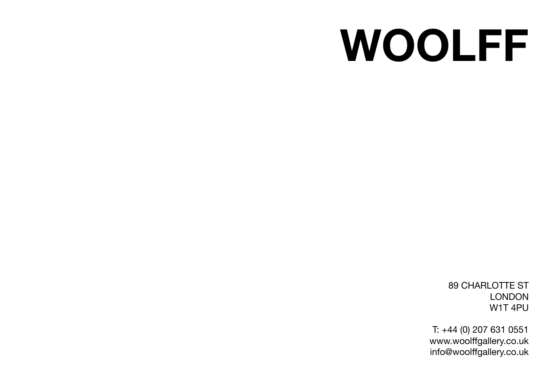## **WOOLFF**

89 CHARLOTTE ST LONDON W1T 4PU

T: +44 (0) 207 631 0551 www.woolffgallery.co.uk info@woolffgallery.co.uk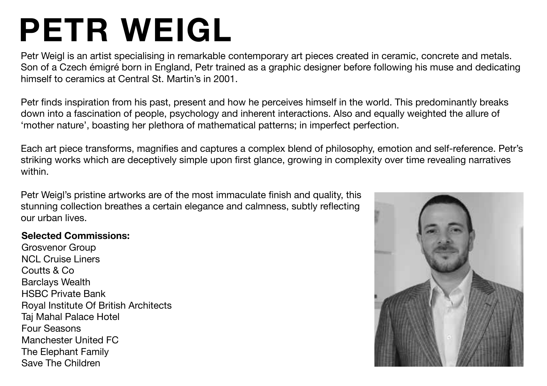## **PETR WEIGL**

Petr Weigl is an artist specialising in remarkable contemporary art pieces created in ceramic, concrete and metals. Son of a Czech émigré born in England, Petr trained as a graphic designer before following his muse and dedicating himself to ceramics at Central St. Martin's in 2001.

Petr finds inspiration from his past, present and how he perceives himself in the world. This predominantly breaks down into a fascination of people, psychology and inherent interactions. Also and equally weighted the allure of 'mother nature', boasting her plethora of mathematical patterns; in imperfect perfection.

Each art piece transforms, magnifies and captures a complex blend of philosophy, emotion and self-reference. Petr's striking works which are deceptively simple upon first glance, growing in complexity over time revealing narratives within.

Petr Weigl's pristine artworks are of the most immaculate finish and quality, this stunning collection breathes a certain elegance and calmness, subtly reflecting our urban lives.

#### **Selected Commissions:**

Grosvenor Group NCL Cruise Liners Coutts & Co Barclays Wealth HSBC Private Bank Royal Institute Of British Architects Taj Mahal Palace Hotel Four Seasons Manchester United FC The Elephant Family Save The Children

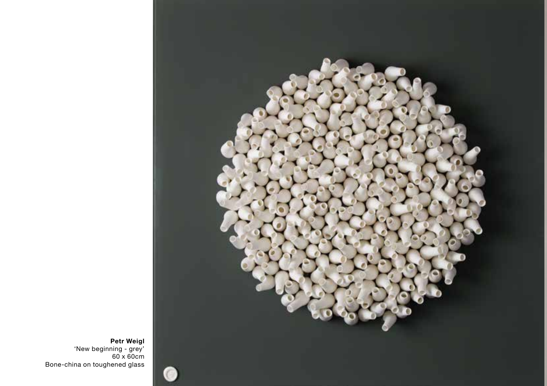

**Petr Weigl** 'New beginning - grey' 60 x 60cm Bone-china on toughened glass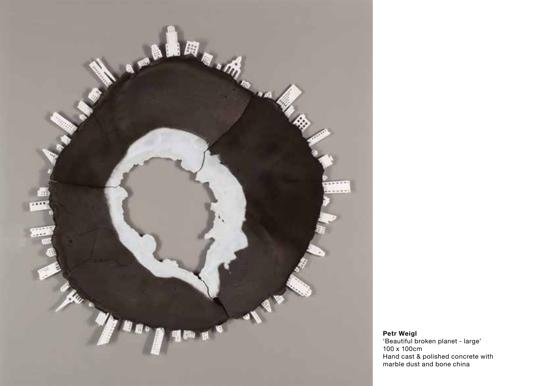

#### **Petr Weigl**

'Beautiful broken planet - large' 100 x 100cm Hand cast & polished concrete with marble dust and bone china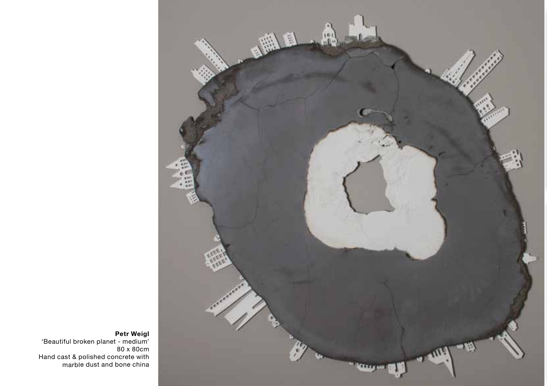

**Petr Weigl** 'Beautiful broken planet - medium' 80 x 80cm Hand cast & polished concrete with marble dust and bone china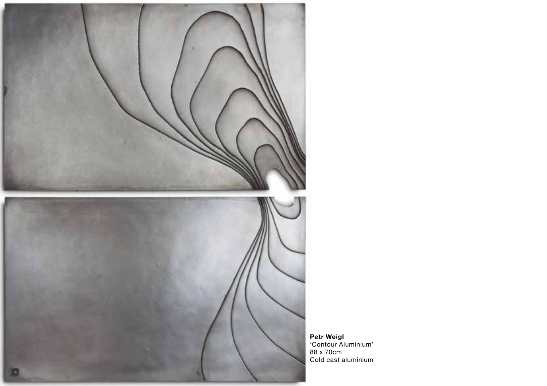

**Petr Weigl** 'Contour Aluminium' 88 x 70cm Cold cast aluminium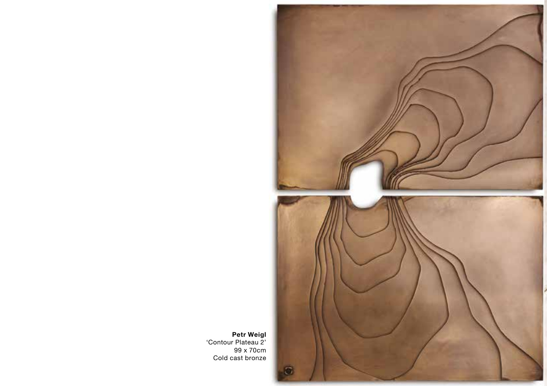

**Petr Weigl** 'Contour Plateau 2' 99 x 70cm Cold cast bronze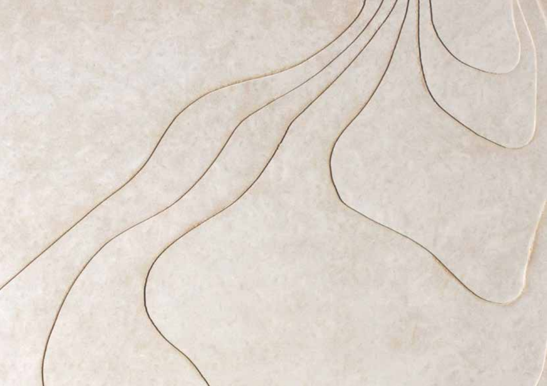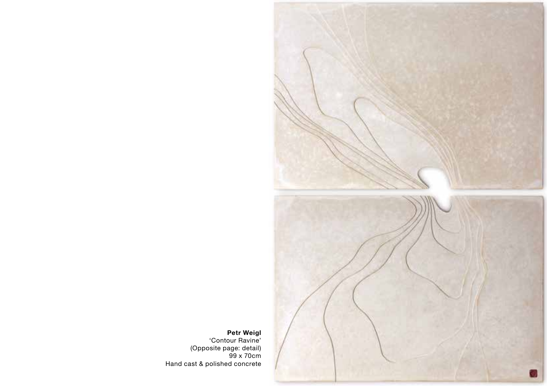

**Petr Weigl** 'Contour Ravine' (Opposite page: detail) 99 x 70cm Hand cast & polished concrete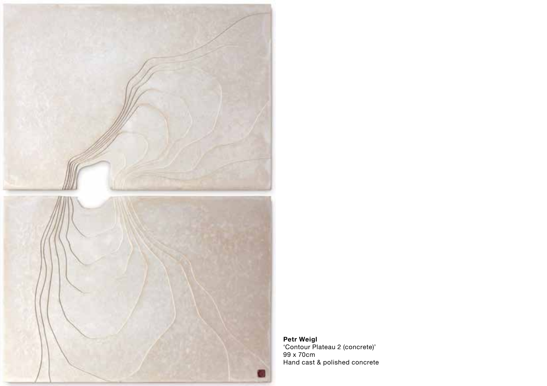

**Petr Weigl** 'Contour Plateau 2 (concrete)' 99 x 70cm Hand cast & polished concrete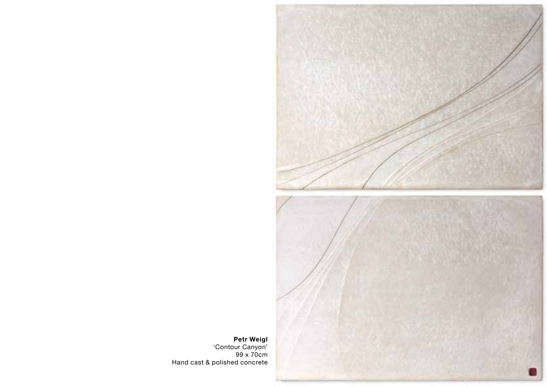

**Petr Weigl** 'Contour Canyon' 99 x 70cm Hand cast & polished concrete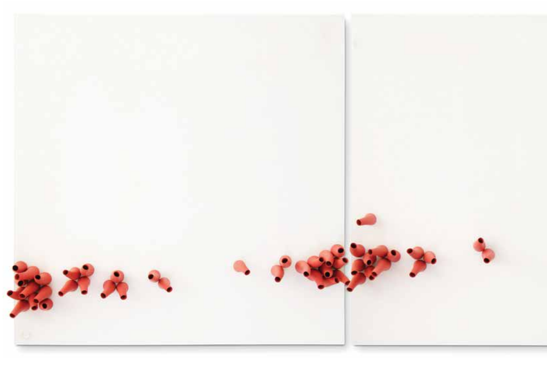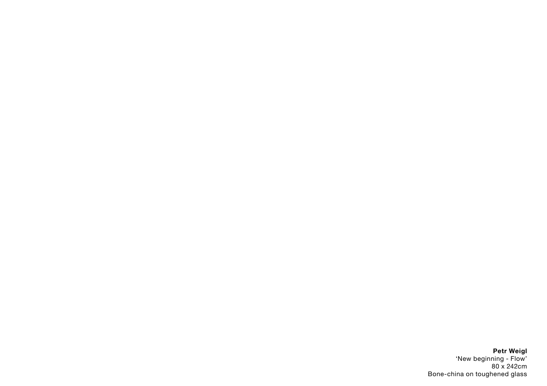**Petr Weigl** 'New beginning - Flow' 80 x 242cm Bone-china on toughened glass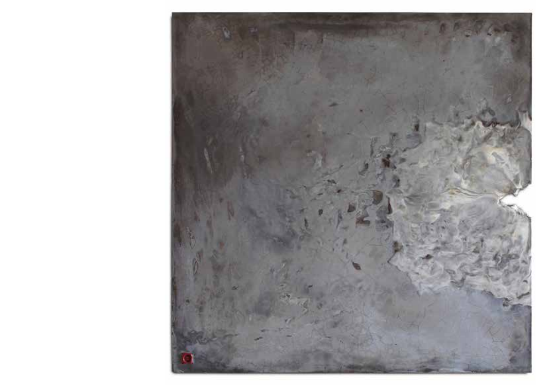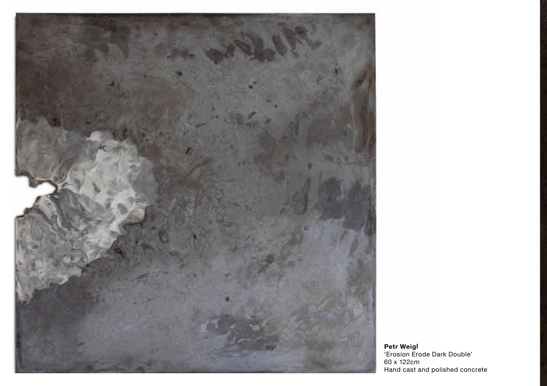

**Petr Weigl** 'Erosion Erode Dark Double' 60 x 122cm Hand cast and polished concrete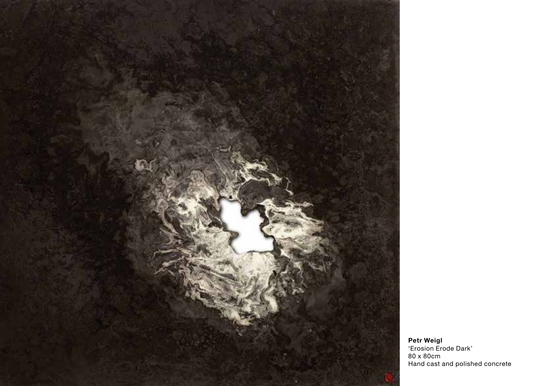

**Petr Weigl** 'Erosion Erode Dark' 80 x 80cm Hand cast and polished concrete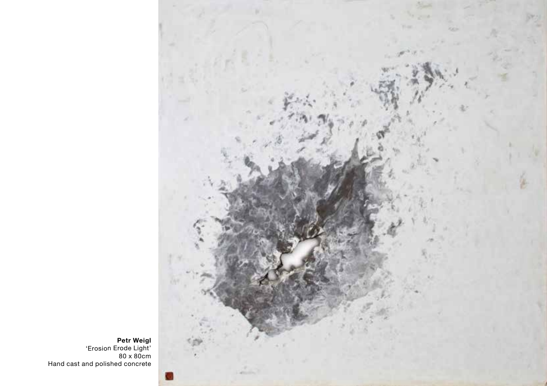

**Petr Weigl** 'Erosion Erode Light' 80 x 80cm Hand cast and polished concrete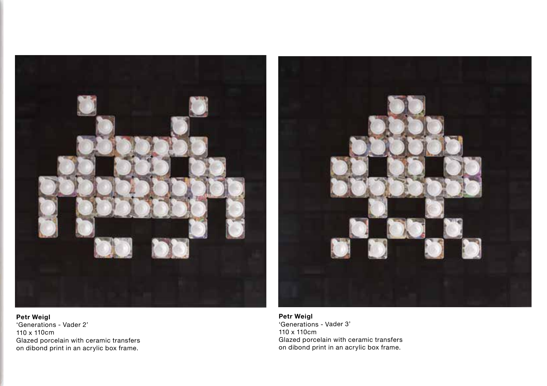

**Petr Weigl** 'Generations - Vader 2' 110 x 110cm Glazed porcelain with ceramic transfers on dibond print in an acrylic box frame.



**Petr Weigl** 'Generations - Vader 3' 110 x 110cm Glazed porcelain with ceramic transfers on dibond print in an acrylic box frame.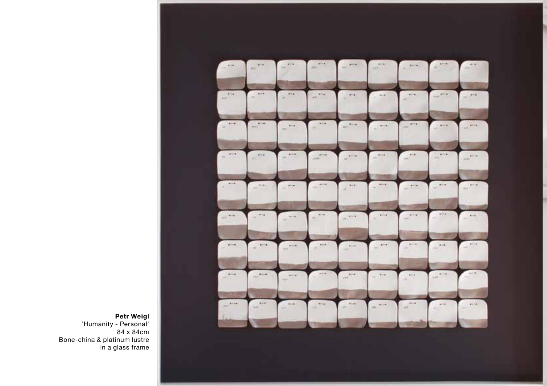

**Petr Weigl** 'Humanity - Personal' 84 x 84cm Bone-china & platinum lustre in a glass frame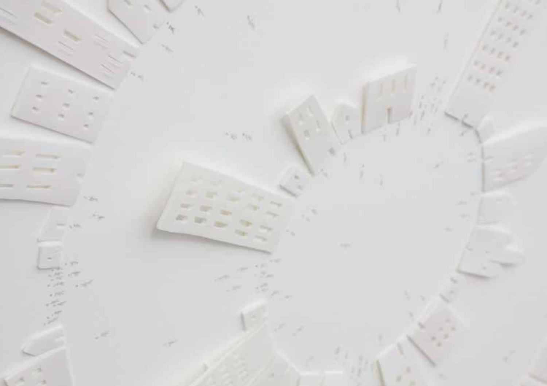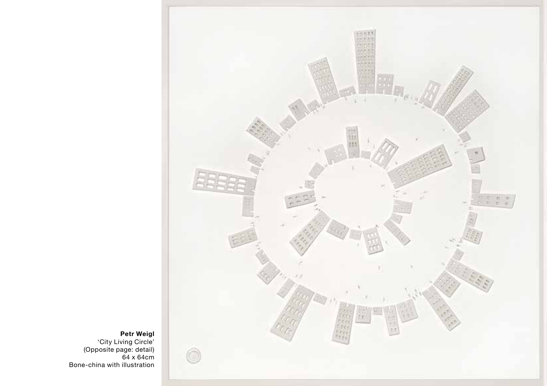

**Petr Weigl**

'City Living Circle' (Opposite page: detail) 64 x 64cm Bone-china with illustration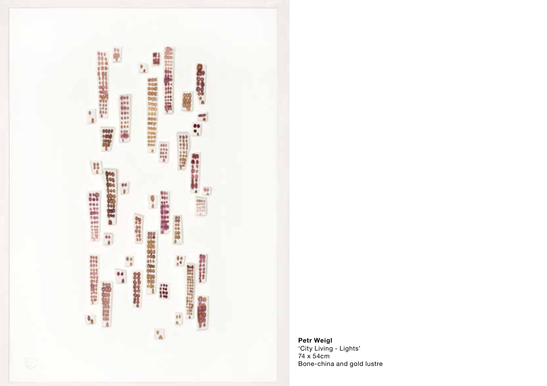

**Petr Weigl** 'City Living - Lights' 74 x 54cm Bone-china and gold lustre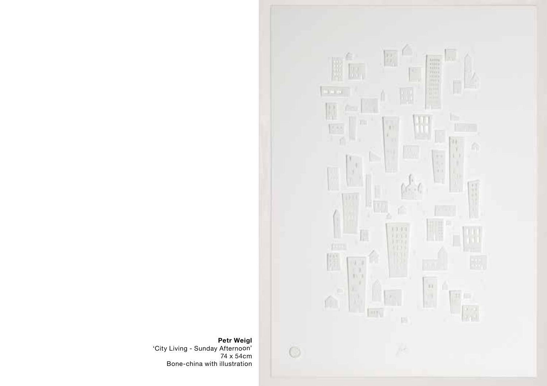

**Petr Weigl** 'City Living - Sunday Afternoon' 74 x 54cm Bone-china with illustration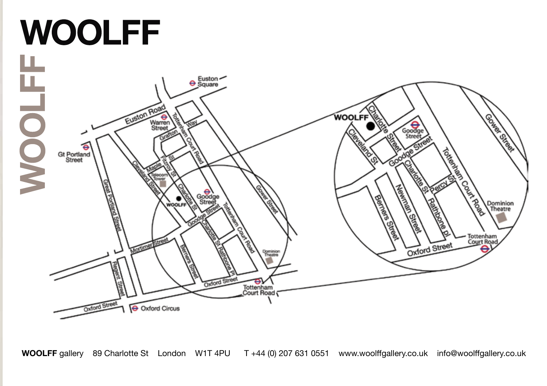

**WOOLFF** gallery 89 Charlotte St London W1T 4PU T +44 (0) 207 631 0551 www.woolffgallery.co.uk info@woolffgallery.co.uk